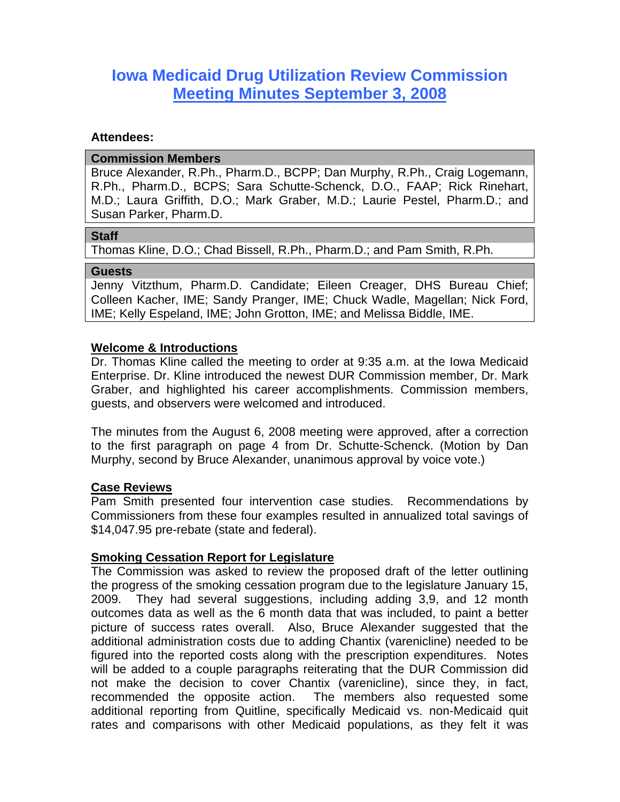# **Iowa Medicaid Drug Utilization Review Commission Meeting Minutes September 3, 2008**

## **Attendees:**

#### **Commission Members**

Bruce Alexander, R.Ph., Pharm.D., BCPP; Dan Murphy, R.Ph., Craig Logemann, R.Ph., Pharm.D., BCPS; Sara Schutte-Schenck, D.O., FAAP; Rick Rinehart, M.D.; Laura Griffith, D.O.; Mark Graber, M.D.; Laurie Pestel, Pharm.D.; and Susan Parker, Pharm.D.

#### **Staff**

Thomas Kline, D.O.; Chad Bissell, R.Ph., Pharm.D.; and Pam Smith, R.Ph.

#### **Guests**

Jenny Vitzthum, Pharm.D. Candidate; Eileen Creager, DHS Bureau Chief; Colleen Kacher, IME; Sandy Pranger, IME; Chuck Wadle, Magellan; Nick Ford, IME; Kelly Espeland, IME; John Grotton, IME; and Melissa Biddle, IME.

## **Welcome & Introductions**

Dr. Thomas Kline called the meeting to order at 9:35 a.m. at the Iowa Medicaid Enterprise. Dr. Kline introduced the newest DUR Commission member, Dr. Mark Graber, and highlighted his career accomplishments. Commission members, guests, and observers were welcomed and introduced.

The minutes from the August 6, 2008 meeting were approved, after a correction to the first paragraph on page 4 from Dr. Schutte-Schenck. (Motion by Dan Murphy, second by Bruce Alexander, unanimous approval by voice vote.)

## **Case Reviews**

Pam Smith presented four intervention case studies. Recommendations by Commissioners from these four examples resulted in annualized total savings of \$14,047.95 pre-rebate (state and federal).

## **Smoking Cessation Report for Legislature**

The Commission was asked to review the proposed draft of the letter outlining the progress of the smoking cessation program due to the legislature January 15, 2009. They had several suggestions, including adding 3,9, and 12 month outcomes data as well as the 6 month data that was included, to paint a better picture of success rates overall. Also, Bruce Alexander suggested that the additional administration costs due to adding Chantix (varenicline) needed to be figured into the reported costs along with the prescription expenditures. Notes will be added to a couple paragraphs reiterating that the DUR Commission did not make the decision to cover Chantix (varenicline), since they, in fact, recommended the opposite action. The members also requested some additional reporting from Quitline, specifically Medicaid vs. non-Medicaid quit rates and comparisons with other Medicaid populations, as they felt it was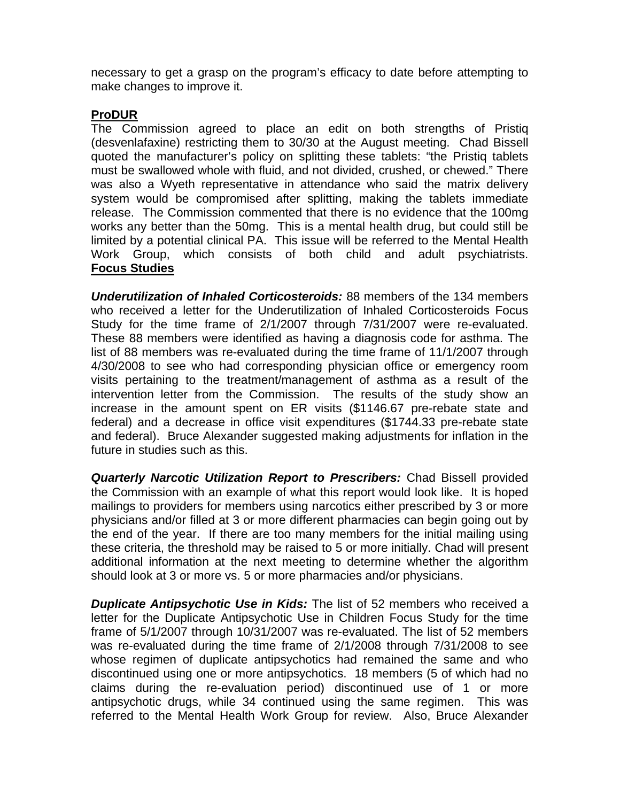necessary to get a grasp on the program's efficacy to date before attempting to make changes to improve it.

# **ProDUR**

The Commission agreed to place an edit on both strengths of Pristiq (desvenlafaxine) restricting them to 30/30 at the August meeting. Chad Bissell quoted the manufacturer's policy on splitting these tablets: "the Pristiq tablets must be swallowed whole with fluid, and not divided, crushed, or chewed." There was also a Wyeth representative in attendance who said the matrix delivery system would be compromised after splitting, making the tablets immediate release. The Commission commented that there is no evidence that the 100mg works any better than the 50mg. This is a mental health drug, but could still be limited by a potential clinical PA. This issue will be referred to the Mental Health Work Group, which consists of both child and adult psychiatrists. **Focus Studies**

*Underutilization of Inhaled Corticosteroids:* 88 members of the 134 members who received a letter for the Underutilization of Inhaled Corticosteroids Focus Study for the time frame of 2/1/2007 through 7/31/2007 were re-evaluated. These 88 members were identified as having a diagnosis code for asthma. The list of 88 members was re-evaluated during the time frame of 11/1/2007 through 4/30/2008 to see who had corresponding physician office or emergency room visits pertaining to the treatment/management of asthma as a result of the intervention letter from the Commission. The results of the study show an increase in the amount spent on ER visits (\$1146.67 pre-rebate state and federal) and a decrease in office visit expenditures (\$1744.33 pre-rebate state and federal). Bruce Alexander suggested making adjustments for inflation in the future in studies such as this.

*Quarterly Narcotic Utilization Report to Prescribers:* Chad Bissell provided the Commission with an example of what this report would look like. It is hoped mailings to providers for members using narcotics either prescribed by 3 or more physicians and/or filled at 3 or more different pharmacies can begin going out by the end of the year. If there are too many members for the initial mailing using these criteria, the threshold may be raised to 5 or more initially. Chad will present additional information at the next meeting to determine whether the algorithm should look at 3 or more vs. 5 or more pharmacies and/or physicians.

*Duplicate Antipsychotic Use in Kids:* The list of 52 members who received a letter for the Duplicate Antipsychotic Use in Children Focus Study for the time frame of 5/1/2007 through 10/31/2007 was re-evaluated. The list of 52 members was re-evaluated during the time frame of 2/1/2008 through 7/31/2008 to see whose regimen of duplicate antipsychotics had remained the same and who discontinued using one or more antipsychotics. 18 members (5 of which had no claims during the re-evaluation period) discontinued use of 1 or more antipsychotic drugs, while 34 continued using the same regimen. This was referred to the Mental Health Work Group for review. Also, Bruce Alexander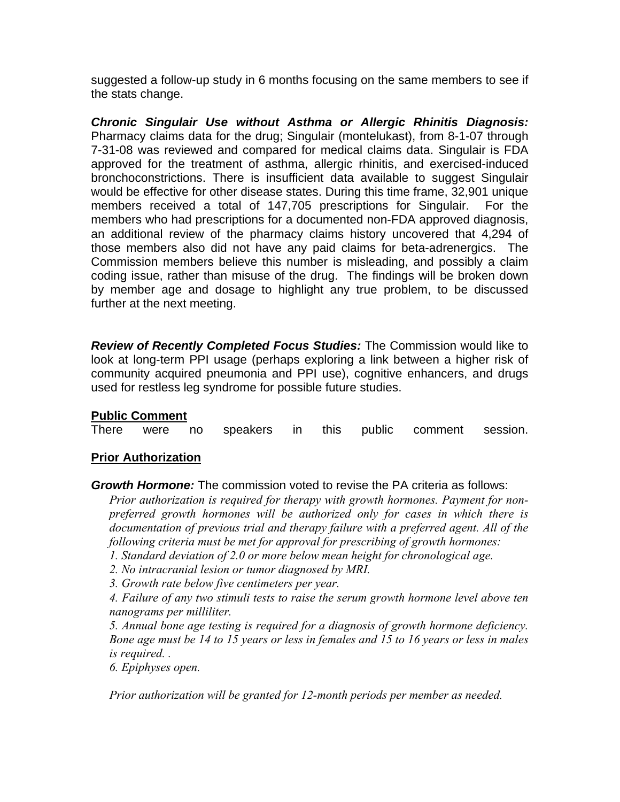suggested a follow-up study in 6 months focusing on the same members to see if the stats change.

*Chronic Singulair Use without Asthma or Allergic Rhinitis Diagnosis:* Pharmacy claims data for the drug; Singulair (montelukast), from 8-1-07 through 7-31-08 was reviewed and compared for medical claims data. Singulair is FDA approved for the treatment of asthma, allergic rhinitis, and exercised-induced bronchoconstrictions. There is insufficient data available to suggest Singulair would be effective for other disease states. During this time frame, 32,901 unique members received a total of 147,705 prescriptions for Singulair. For the members who had prescriptions for a documented non-FDA approved diagnosis, an additional review of the pharmacy claims history uncovered that 4,294 of those members also did not have any paid claims for beta-adrenergics. The Commission members believe this number is misleading, and possibly a claim coding issue, rather than misuse of the drug. The findings will be broken down by member age and dosage to highlight any true problem, to be discussed further at the next meeting.

*Review of Recently Completed Focus Studies:* The Commission would like to look at long-term PPI usage (perhaps exploring a link between a higher risk of community acquired pneumonia and PPI use), cognitive enhancers, and drugs used for restless leg syndrome for possible future studies.

## **Public Comment**

There were no speakers in this public comment session.

## **Prior Authorization**

*Growth Hormone:* The commission voted to revise the PA criteria as follows:

*Prior authorization is required for therapy with growth hormones. Payment for nonpreferred growth hormones will be authorized only for cases in which there is documentation of previous trial and therapy failure with a preferred agent. All of the following criteria must be met for approval for prescribing of growth hormones:* 

- *1. Standard deviation of 2.0 or more below mean height for chronological age.*
- *2. No intracranial lesion or tumor diagnosed by MRI.*
- *3. Growth rate below five centimeters per year.*

*4. Failure of any two stimuli tests to raise the serum growth hormone level above ten nanograms per milliliter.* 

*5. Annual bone age testing is required for a diagnosis of growth hormone deficiency. Bone age must be 14 to 15 years or less in females and 15 to 16 years or less in males is required. .* 

*6. Epiphyses open.* 

*Prior authorization will be granted for 12-month periods per member as needed.*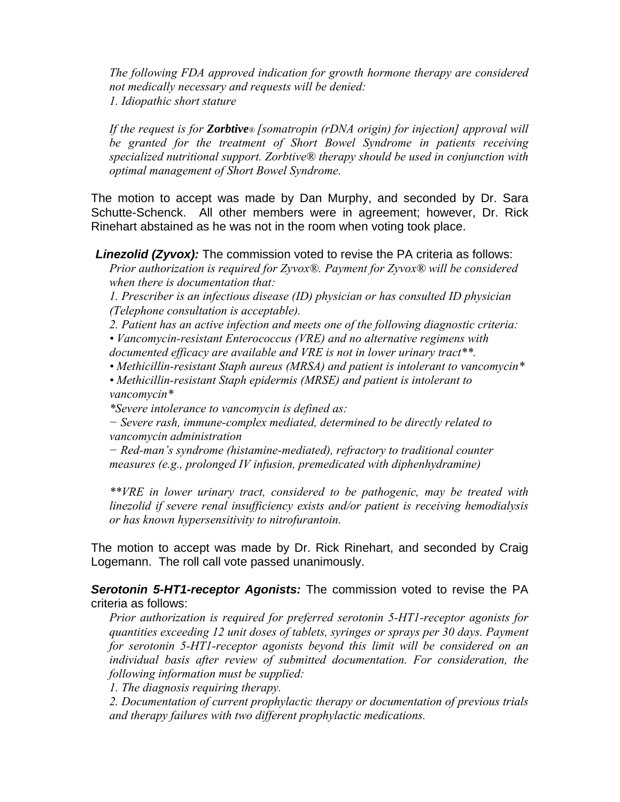*The following FDA approved indication for growth hormone therapy are considered not medically necessary and requests will be denied: 1. Idiopathic short stature* 

*If the request is for Zorbtive® [somatropin (rDNA origin) for injection] approval will be granted for the treatment of Short Bowel Syndrome in patients receiving specialized nutritional support. Zorbtive® therapy should be used in conjunction with optimal management of Short Bowel Syndrome.*

The motion to accept was made by Dan Murphy, and seconded by Dr. Sara Schutte-Schenck. All other members were in agreement; however, Dr. Rick Rinehart abstained as he was not in the room when voting took place.

*Linezolid (Zyvox):* The commission voted to revise the PA criteria as follows:

*Prior authorization is required for Zyvox®. Payment for Zyvox® will be considered when there is documentation that:* 

*1. Prescriber is an infectious disease (ID) physician or has consulted ID physician (Telephone consultation is acceptable).* 

*2. Patient has an active infection and meets one of the following diagnostic criteria:* 

*• Vancomycin-resistant Enterococcus (VRE) and no alternative regimens with documented efficacy are available and VRE is not in lower urinary tract\*\*.* 

*• Methicillin-resistant Staph aureus (MRSA) and patient is intolerant to vancomycin\** 

*• Methicillin-resistant Staph epidermis (MRSE) and patient is intolerant to vancomycin\** 

*\*Severe intolerance to vancomycin is defined as:* 

*− Severe rash, immune-complex mediated, determined to be directly related to vancomycin administration* 

*− Red-man's syndrome (histamine-mediated), refractory to traditional counter measures (e.g., prolonged IV infusion, premedicated with diphenhydramine)* 

*\*\*VRE in lower urinary tract, considered to be pathogenic, may be treated with linezolid if severe renal insufficiency exists and/or patient is receiving hemodialysis or has known hypersensitivity to nitrofurantoin.* 

The motion to accept was made by Dr. Rick Rinehart, and seconded by Craig Logemann. The roll call vote passed unanimously.

*Serotonin 5-HT1-receptor Agonists:* The commission voted to revise the PA criteria as follows:

*Prior authorization is required for preferred serotonin 5-HT1-receptor agonists for quantities exceeding 12 unit doses of tablets, syringes or sprays per 30 days. Payment for serotonin 5-HT1-receptor agonists beyond this limit will be considered on an individual basis after review of submitted documentation. For consideration, the following information must be supplied:* 

*1. The diagnosis requiring therapy.* 

*2. Documentation of current prophylactic therapy or documentation of previous trials and therapy failures with two different prophylactic medications.*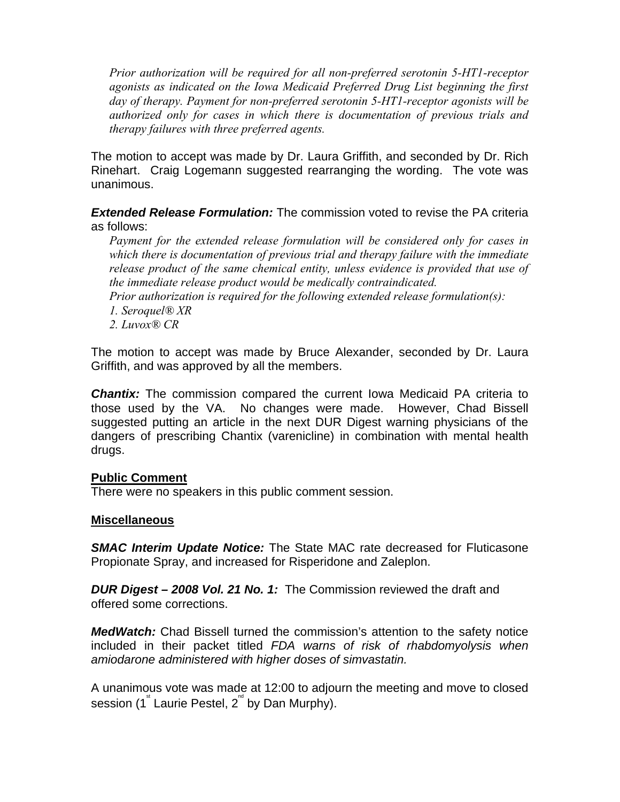*Prior authorization will be required for all non-preferred serotonin 5-HT1-receptor agonists as indicated on the Iowa Medicaid Preferred Drug List beginning the first day of therapy. Payment for non-preferred serotonin 5-HT1-receptor agonists will be authorized only for cases in which there is documentation of previous trials and therapy failures with three preferred agents.* 

The motion to accept was made by Dr. Laura Griffith, and seconded by Dr. Rich Rinehart. Craig Logemann suggested rearranging the wording. The vote was unanimous.

*Extended Release Formulation:* The commission voted to revise the PA criteria as follows:

*Payment for the extended release formulation will be considered only for cases in which there is documentation of previous trial and therapy failure with the immediate*  release product of the same chemical entity, unless evidence is provided that use of *the immediate release product would be medically contraindicated.* 

*Prior authorization is required for the following extended release formulation(s):* 

- *1. Seroquel® XR*
- *2. Luvox® CR*

The motion to accept was made by Bruce Alexander, seconded by Dr. Laura Griffith, and was approved by all the members.

*Chantix:* The commission compared the current Iowa Medicaid PA criteria to those used by the VA. No changes were made. However, Chad Bissell suggested putting an article in the next DUR Digest warning physicians of the dangers of prescribing Chantix (varenicline) in combination with mental health drugs.

## **Public Comment**

There were no speakers in this public comment session.

## **Miscellaneous**

*SMAC Interim Update Notice:* The State MAC rate decreased for Fluticasone Propionate Spray, and increased for Risperidone and Zaleplon.

*DUR Digest – 2008 Vol. 21 No. 1:* The Commission reviewed the draft and offered some corrections.

*MedWatch:* Chad Bissell turned the commission's attention to the safety notice included in their packet titled *FDA warns of risk of rhabdomyolysis when amiodarone administered with higher doses of simvastatin.* 

A unanimous vote was made at 12:00 to adjourn the meeting and move to closed session (1<sup>st</sup> Laurie Pestel, 2<sup>nd</sup> by Dan Murphy).